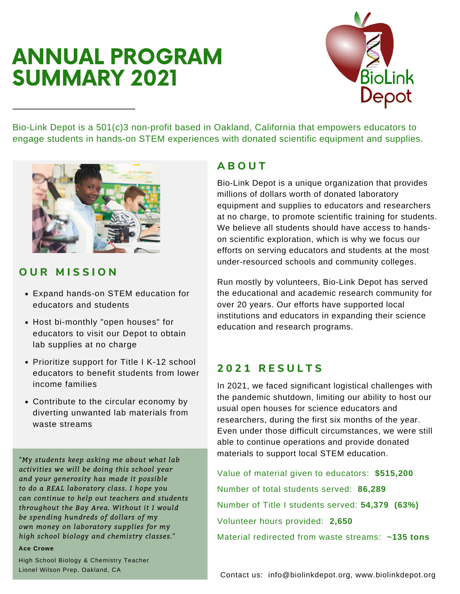# ANNUAL PROGRAM SUMMARY 2021



Bio-Link Depot is a 501(c)3 non-profit based in Oakland, California that empowers educators to engage students in hands-on STEM experiences with donated scientific equipment and supplies.



## **O U R M I S S I O N**

- Expand hands-on STEM education for educators and students
- Host bi-monthly "open houses" for educators to visit our Depot to obtain lab supplies at no charge
- Prioritize support for Title I K-12 school educators to benefit students from lower income families
- Contribute to the circular economy by diverting unwanted lab materials from waste streams

*"My students keep asking me about what lab activities we will be doing this school year and your generosity has made it possible to do a REAL laboratory class. I hope you can continue to help out teachers and students throughout the Bay Area. Without it I would be spending hundreds of dollars of my own money on laboratory supplies for my high school biology and chemistry classes."*

#### **Ace Crowe**

High School Biology & Chemistry Teacher Lionel Wilson Prep, Oakland, CA

## **A B O U T**

Bio-Link Depot is a unique organization that provides millions of dollars worth of donated laboratory equipment and supplies to educators and researchers at no charge, to promote scientific training for students. We believe all students should have access to handson scientific exploration, which is why we focus our efforts on serving educators and students at the most under-resourced schools and community colleges.

Run mostly by volunteers, Bio-Link Depot has served the educational and academic research community for over 20 years. Our efforts have supported local institutions and educators in expanding their science education and research programs.

## **2 0 2 1 R E S U L T S**

In 2021, we faced significant logistical challenges with the pandemic shutdown, limiting our ability to host our usual open houses for science educators and researchers, during the first six months of the year. Even under those difficult circumstances, we were still able to continue operations and provide donated materials to support local STEM education.

Value of material given to educators: **\$515,200** Number of total students served: **86,289** Number of Title I students served: **54,379 (63%)** Volunteer hours provided: **2,650** Material redirected from waste streams: **~135 tons**

Contact us: info@biolinkdepot.org, www.biolinkdepot.org